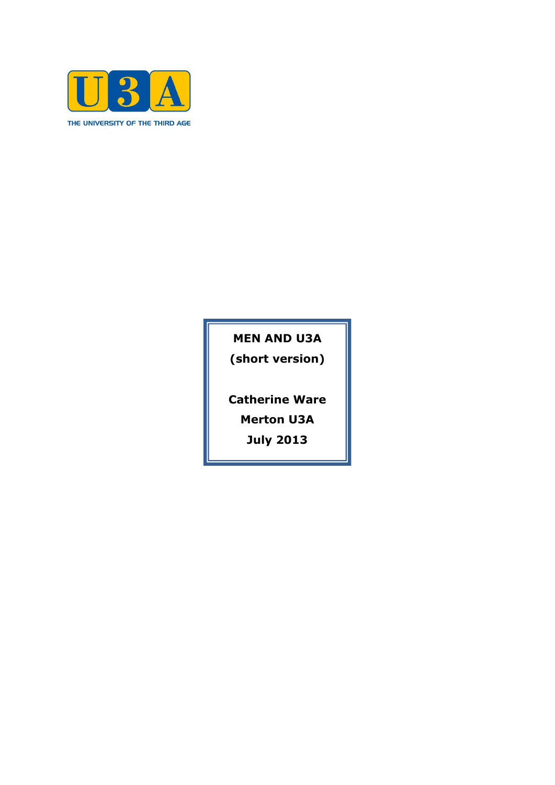

**MEN AND U3A (short version)**

**Catherine Ware**

**Merton U3A**

**July 2013**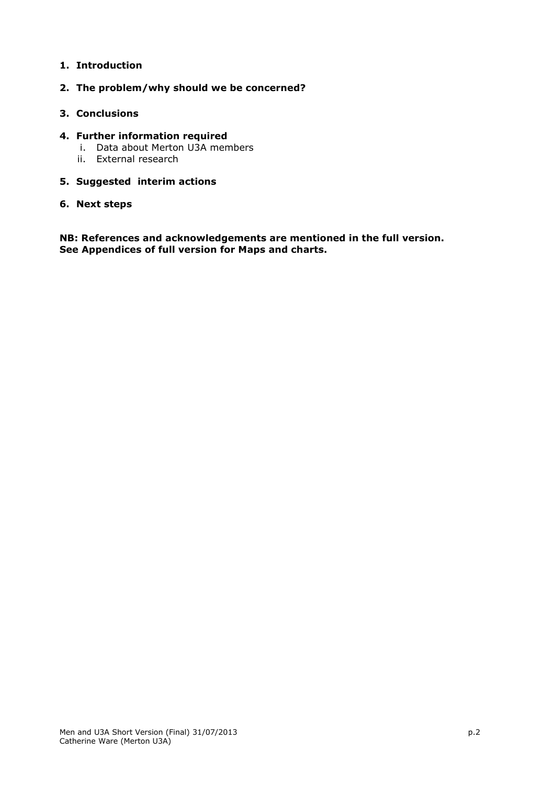# **1. Introduction**

# **2. The problem/why should we be concerned?**

## **3. Conclusions**

## **4. Further information required**

- i. Data about Merton U3A members
- ii. External research

# **5. Suggested interim actions**

## **6. Next steps**

**NB: References and acknowledgements are mentioned in the full version. See Appendices of full version for Maps and charts.**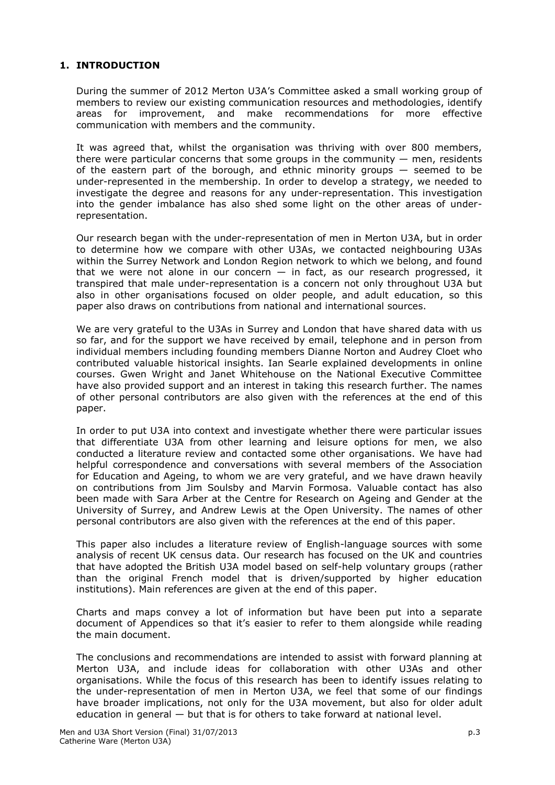# **1. INTRODUCTION**

During the summer of 2012 Merton U3A's Committee asked a small working group of members to review our existing communication resources and methodologies, identify areas for improvement, and make recommendations for more effective communication with members and the community.

It was agreed that, whilst the organisation was thriving with over 800 members, there were particular concerns that some groups in the community  $-$  men, residents of the eastern part of the borough, and ethnic minority groups — seemed to be under-represented in the membership. In order to develop a strategy, we needed to investigate the degree and reasons for any under-representation. This investigation into the gender imbalance has also shed some light on the other areas of underrepresentation.

Our research began with the under-representation of men in Merton U3A, but in order to determine how we compare with other U3As, we contacted neighbouring U3As within the Surrey Network and London Region network to which we belong, and found that we were not alone in our concern  $-$  in fact, as our research progressed, it transpired that male under-representation is a concern not only throughout U3A but also in other organisations focused on older people, and adult education, so this paper also draws on contributions from national and international sources.

We are very grateful to the U3As in Surrey and London that have shared data with us so far, and for the support we have received by email, telephone and in person from individual members including founding members Dianne Norton and Audrey Cloet who contributed valuable historical insights. Ian Searle explained developments in online courses. Gwen Wright and Janet Whitehouse on the National Executive Committee have also provided support and an interest in taking this research further. The names of other personal contributors are also given with the references at the end of this paper.

In order to put U3A into context and investigate whether there were particular issues that differentiate U3A from other learning and leisure options for men, we also conducted a literature review and contacted some other organisations. We have had helpful correspondence and conversations with several members of the Association for Education and Ageing, to whom we are very grateful, and we have drawn heavily on contributions from Jim Soulsby and Marvin Formosa. Valuable contact has also been made with Sara Arber at the Centre for Research on Ageing and Gender at the University of Surrey, and Andrew Lewis at the Open University. The names of other personal contributors are also given with the references at the end of this paper.

This paper also includes a literature review of English-language sources with some analysis of recent UK census data. Our research has focused on the UK and countries that have adopted the British U3A model based on self-help voluntary groups (rather than the original French model that is driven/supported by higher education institutions). Main references are given at the end of this paper.

Charts and maps convey a lot of information but have been put into a separate document of Appendices so that it's easier to refer to them alongside while reading the main document.

The conclusions and recommendations are intended to assist with forward planning at Merton U3A, and include ideas for collaboration with other U3As and other organisations. While the focus of this research has been to identify issues relating to the under-representation of men in Merton U3A, we feel that some of our findings have broader implications, not only for the U3A movement, but also for older adult education in general — but that is for others to take forward at national level.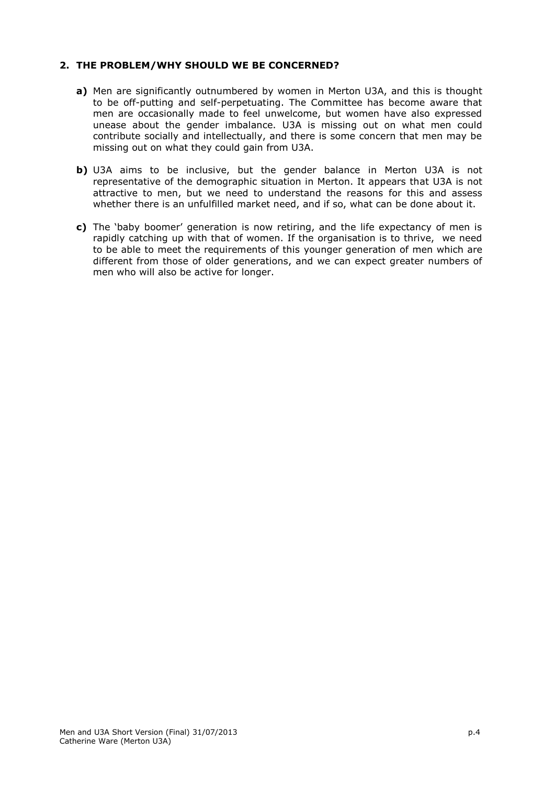## **2. THE PROBLEM/WHY SHOULD WE BE CONCERNED?**

- **a)** Men are significantly outnumbered by women in Merton U3A, and this is thought to be off-putting and self-perpetuating. The Committee has become aware that men are occasionally made to feel unwelcome, but women have also expressed unease about the gender imbalance. U3A is missing out on what men could contribute socially and intellectually, and there is some concern that men may be missing out on what they could gain from U3A.
- **b)** U3A aims to be inclusive, but the gender balance in Merton U3A is not representative of the demographic situation in Merton. It appears that U3A is not attractive to men, but we need to understand the reasons for this and assess whether there is an unfulfilled market need, and if so, what can be done about it.
- **c)** The 'baby boomer' generation is now retiring, and the life expectancy of men is rapidly catching up with that of women. If the organisation is to thrive, we need to be able to meet the requirements of this younger generation of men which are different from those of older generations, and we can expect greater numbers of men who will also be active for longer.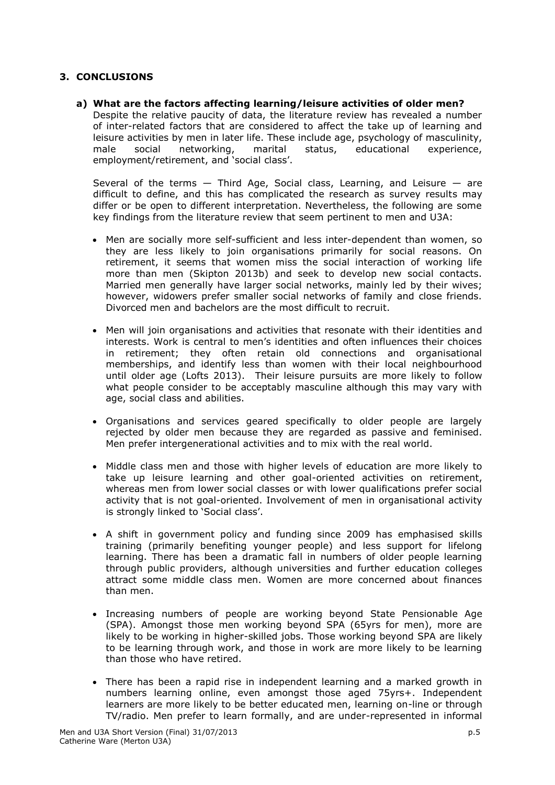# **3. CONCLUSIONS**

**a) What are the factors affecting learning/leisure activities of older men?** Despite the relative paucity of data, the literature review has revealed a number of inter-related factors that are considered to affect the take up of learning and leisure activities by men in later life. These include age, psychology of masculinity, male social networking, marital status, educational experience, employment/retirement, and 'social class'.

Several of the terms  $-$  Third Age, Social class, Learning, and Leisure  $-$  are difficult to define, and this has complicated the research as survey results may differ or be open to different interpretation. Nevertheless, the following are some key findings from the literature review that seem pertinent to men and U3A:

- Men are socially more self-sufficient and less inter-dependent than women, so they are less likely to join organisations primarily for social reasons. On retirement, it seems that women miss the social interaction of working life more than men (Skipton 2013b) and seek to develop new social contacts. Married men generally have larger social networks, mainly led by their wives; however, widowers prefer smaller social networks of family and close friends. Divorced men and bachelors are the most difficult to recruit.
- Men will join organisations and activities that resonate with their identities and interests. Work is central to men's identities and often influences their choices in retirement; they often retain old connections and organisational memberships, and identify less than women with their local neighbourhood until older age (Lofts 2013). Their leisure pursuits are more likely to follow what people consider to be acceptably masculine although this may vary with age, social class and abilities.
- Organisations and services geared specifically to older people are largely rejected by older men because they are regarded as passive and feminised. Men prefer intergenerational activities and to mix with the real world.
- Middle class men and those with higher levels of education are more likely to take up leisure learning and other goal-oriented activities on retirement, whereas men from lower social classes or with lower qualifications prefer social activity that is not goal-oriented. Involvement of men in organisational activity is strongly linked to 'Social class'.
- A shift in government policy and funding since 2009 has emphasised skills training (primarily benefiting younger people) and less support for lifelong learning. There has been a dramatic fall in numbers of older people learning through public providers, although universities and further education colleges attract some middle class men. Women are more concerned about finances than men.
- Increasing numbers of people are working beyond State Pensionable Age (SPA). Amongst those men working beyond SPA (65yrs for men), more are likely to be working in higher-skilled jobs. Those working beyond SPA are likely to be learning through work, and those in work are more likely to be learning than those who have retired.
- There has been a rapid rise in independent learning and a marked growth in numbers learning online, even amongst those aged 75yrs+. Independent learners are more likely to be better educated men, learning on-line or through TV/radio. Men prefer to learn formally, and are under-represented in informal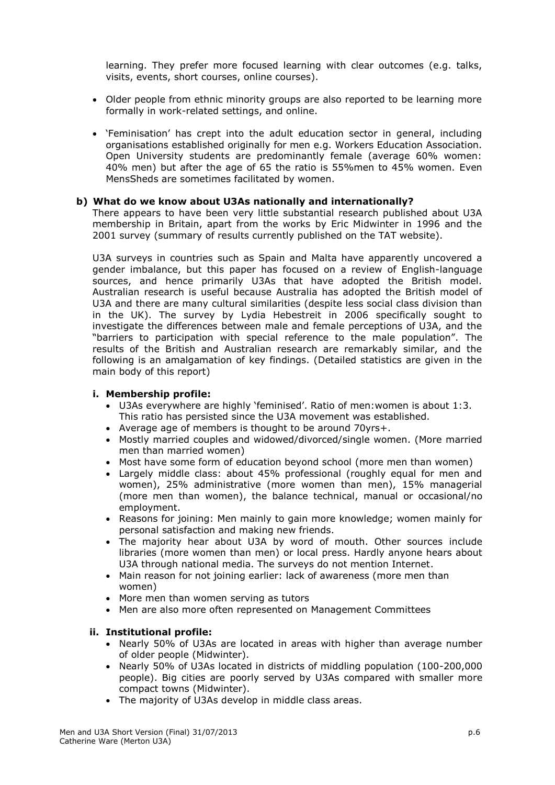learning. They prefer more focused learning with clear outcomes (e.g. talks, visits, events, short courses, online courses).

- Older people from ethnic minority groups are also reported to be learning more formally in work-related settings, and online.
- 'Feminisation' has crept into the adult education sector in general, including organisations established originally for men e.g. Workers Education Association. Open University students are predominantly female (average 60% women: 40% men) but after the age of 65 the ratio is 55%men to 45% women. Even MensSheds are sometimes facilitated by women.

### **b) What do we know about U3As nationally and internationally?**

There appears to have been very little substantial research published about U3A membership in Britain, apart from the works by Eric Midwinter in 1996 and the 2001 survey (summary of results currently published on the TAT website).

U3A surveys in countries such as Spain and Malta have apparently uncovered a gender imbalance, but this paper has focused on a review of English-language sources, and hence primarily U3As that have adopted the British model. Australian research is useful because Australia has adopted the British model of U3A and there are many cultural similarities (despite less social class division than in the UK). The survey by Lydia Hebestreit in 2006 specifically sought to investigate the differences between male and female perceptions of U3A, and the "barriers to participation with special reference to the male population". The results of the British and Australian research are remarkably similar, and the following is an amalgamation of key findings. (Detailed statistics are given in the main body of this report)

#### **i. Membership profile:**

- U3As everywhere are highly 'feminised'. Ratio of men:women is about 1:3. This ratio has persisted since the U3A movement was established.
- Average age of members is thought to be around 70yrs+.
- Mostly married couples and widowed/divorced/single women. (More married men than married women)
- Most have some form of education beyond school (more men than women)
- Largely middle class: about 45% professional (roughly equal for men and women), 25% administrative (more women than men), 15% managerial (more men than women), the balance technical, manual or occasional/no employment.
- Reasons for joining: Men mainly to gain more knowledge; women mainly for personal satisfaction and making new friends.
- The majority hear about U3A by word of mouth. Other sources include libraries (more women than men) or local press. Hardly anyone hears about U3A through national media. The surveys do not mention Internet.
- Main reason for not joining earlier: lack of awareness (more men than women)
- More men than women serving as tutors
- Men are also more often represented on Management Committees

### **ii. Institutional profile:**

- Nearly 50% of U3As are located in areas with higher than average number of older people (Midwinter).
- Nearly 50% of U3As located in districts of middling population (100-200,000 people). Big cities are poorly served by U3As compared with smaller more compact towns (Midwinter).
- The majority of U3As develop in middle class areas.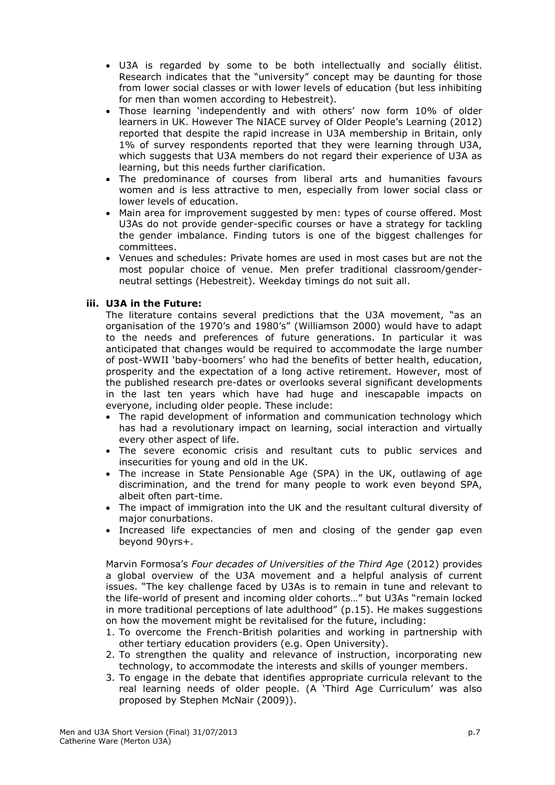- U3A is regarded by some to be both intellectually and socially élitist. Research indicates that the "university" concept may be daunting for those from lower social classes or with lower levels of education (but less inhibiting for men than women according to Hebestreit).
- Those learning 'independently and with others' now form 10% of older learners in UK. However The NIACE survey of Older People's Learning (2012) reported that despite the rapid increase in U3A membership in Britain, only 1% of survey respondents reported that they were learning through U3A, which suggests that U3A members do not regard their experience of U3A as learning, but this needs further clarification.
- The predominance of courses from liberal arts and humanities favours women and is less attractive to men, especially from lower social class or lower levels of education.
- Main area for improvement suggested by men: types of course offered. Most U3As do not provide gender-specific courses or have a strategy for tackling the gender imbalance. Finding tutors is one of the biggest challenges for committees.
- Venues and schedules: Private homes are used in most cases but are not the most popular choice of venue. Men prefer traditional classroom/genderneutral settings (Hebestreit). Weekday timings do not suit all.

## **iii. U3A in the Future:**

The literature contains several predictions that the U3A movement, "as an organisation of the 1970's and 1980's" (Williamson 2000) would have to adapt to the needs and preferences of future generations. In particular it was anticipated that changes would be required to accommodate the large number of post-WWII 'baby-boomers' who had the benefits of better health, education, prosperity and the expectation of a long active retirement. However, most of the published research pre-dates or overlooks several significant developments in the last ten years which have had huge and inescapable impacts on everyone, including older people. These include:

- The rapid development of information and communication technology which has had a revolutionary impact on learning, social interaction and virtually every other aspect of life.
- The severe economic crisis and resultant cuts to public services and insecurities for young and old in the UK.
- The increase in State Pensionable Age (SPA) in the UK, outlawing of age discrimination, and the trend for many people to work even beyond SPA, albeit often part-time.
- The impact of immigration into the UK and the resultant cultural diversity of major conurbations.
- Increased life expectancies of men and closing of the gender gap even beyond 90yrs+.

Marvin Formosa's *Four decades of Universities of the Third Age* (2012) provides a global overview of the U3A movement and a helpful analysis of current issues. "The key challenge faced by U3As is to remain in tune and relevant to the life-world of present and incoming older cohorts…" but U3As "remain locked in more traditional perceptions of late adulthood" (p.15). He makes suggestions on how the movement might be revitalised for the future, including:

- 1. To overcome the French-British polarities and working in partnership with other tertiary education providers (e.g. Open University).
- 2. To strengthen the quality and relevance of instruction, incorporating new technology, to accommodate the interests and skills of younger members.
- 3. To engage in the debate that identifies appropriate curricula relevant to the real learning needs of older people. (A 'Third Age Curriculum' was also proposed by Stephen McNair (2009)).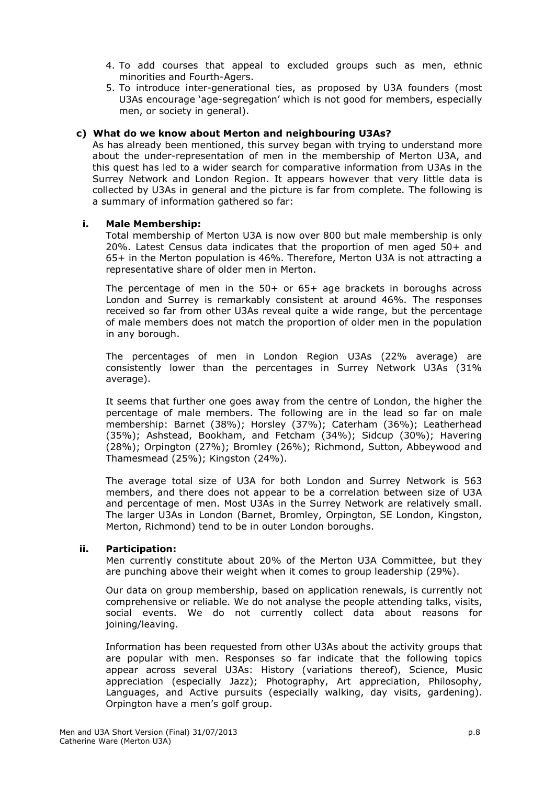- 4. To add courses that appeal to excluded groups such as men, ethnic minorities and Fourth-Agers.
- 5. To introduce inter-generational ties, as proposed by U3A founders (most U3As encourage 'age-segregation' which is not good for members, especially men, or society in general).

### **c) What do we know about Merton and neighbouring U3As?**

As has already been mentioned, this survey began with trying to understand more about the under-representation of men in the membership of Merton U3A, and this quest has led to a wider search for comparative information from U3As in the Surrey Network and London Region. It appears however that very little data is collected by U3As in general and the picture is far from complete. The following is a summary of information gathered so far:

#### **i. Male Membership:**

Total membership of Merton U3A is now over 800 but male membership is only 20%. Latest Census data indicates that the proportion of men aged 50+ and 65+ in the Merton population is 46%. Therefore, Merton U3A is not attracting a representative share of older men in Merton.

The percentage of men in the 50+ or 65+ age brackets in boroughs across London and Surrey is remarkably consistent at around 46%. The responses received so far from other U3As reveal quite a wide range, but the percentage of male members does not match the proportion of older men in the population in any borough.

The percentages of men in London Region U3As (22% average) are consistently lower than the percentages in Surrey Network U3As (31% average).

It seems that further one goes away from the centre of London, the higher the percentage of male members. The following are in the lead so far on male membership: Barnet (38%); Horsley (37%); Caterham (36%); Leatherhead (35%); Ashstead, Bookham, and Fetcham (34%); Sidcup (30%); Havering (28%); Orpington (27%); Bromley (26%); Richmond, Sutton, Abbeywood and Thamesmead (25%); Kingston (24%).

The average total size of U3A for both London and Surrey Network is 563 members, and there does not appear to be a correlation between size of U3A and percentage of men. Most U3As in the Surrey Network are relatively small. The larger U3As in London (Barnet, Bromley, Orpington, SE London, Kingston, Merton, Richmond) tend to be in outer London boroughs.

#### **ii. Participation:**

Men currently constitute about 20% of the Merton U3A Committee, but they are punching above their weight when it comes to group leadership (29%).

Our data on group membership, based on application renewals, is currently not comprehensive or reliable. We do not analyse the people attending talks, visits, social events. We do not currently collect data about reasons for joining/leaving.

Information has been requested from other U3As about the activity groups that are popular with men. Responses so far indicate that the following topics appear across several U3As: History (variations thereof), Science, Music appreciation (especially Jazz); Photography, Art appreciation, Philosophy, Languages, and Active pursuits (especially walking, day visits, gardening). Orpington have a men's golf group.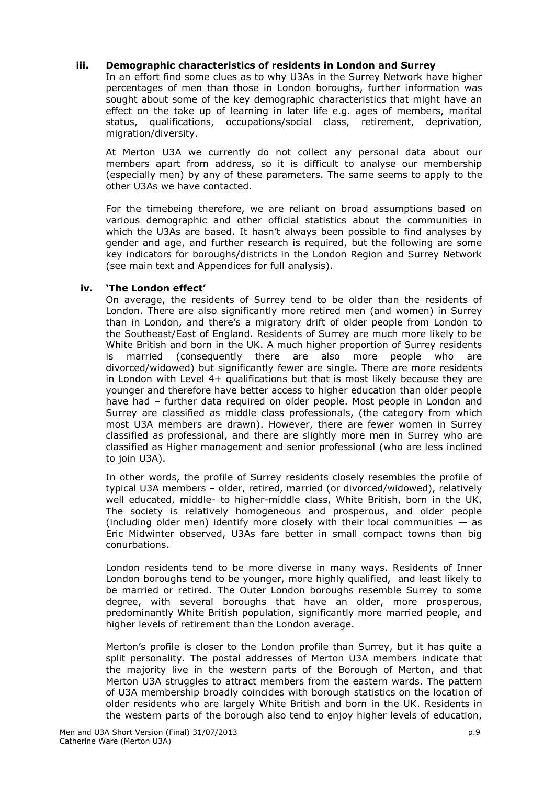## **iii. Demographic characteristics of residents in London and Surrey**

In an effort find some clues as to why U3As in the Surrey Network have higher percentages of men than those in London boroughs, further information was sought about some of the key demographic characteristics that might have an effect on the take up of learning in later life e.g. ages of members, marital status, qualifications, occupations/social class, retirement, deprivation, migration/diversity.

At Merton U3A we currently do not collect any personal data about our members apart from address, so it is difficult to analyse our membership (especially men) by any of these parameters. The same seems to apply to the other U3As we have contacted.

For the timebeing therefore, we are reliant on broad assumptions based on various demographic and other official statistics about the communities in which the U3As are based. It hasn't always been possible to find analyses by gender and age, and further research is required, but the following are some key indicators for boroughs/districts in the London Region and Surrey Network (see main text and Appendices for full analysis).

## **iv. 'The London effect'**

On average, the residents of Surrey tend to be older than the residents of London. There are also significantly more retired men (and women) in Surrey than in London, and there's a migratory drift of older people from London to the Southeast/East of England. Residents of Surrey are much more likely to be White British and born in the UK. A much higher proportion of Surrey residents is married (consequently there are also more people who are divorced/widowed) but significantly fewer are single. There are more residents in London with Level 4+ qualifications but that is most likely because they are younger and therefore have better access to higher education than older people have had – further data required on older people. Most people in London and Surrey are classified as middle class professionals, (the category from which most U3A members are drawn). However, there are fewer women in Surrey classified as professional, and there are slightly more men in Surrey who are classified as Higher management and senior professional (who are less inclined to join U3A).

In other words, the profile of Surrey residents closely resembles the profile of typical U3A members – older, retired, married (or divorced/widowed), relatively well educated, middle- to higher-middle class, White British, born in the UK, The society is relatively homogeneous and prosperous, and older people (including older men) identify more closely with their local communities  $-$  as Eric Midwinter observed, U3As fare better in small compact towns than big conurbations.

London residents tend to be more diverse in many ways. Residents of Inner London boroughs tend to be younger, more highly qualified, and least likely to be married or retired. The Outer London boroughs resemble Surrey to some degree, with several boroughs that have an older, more prosperous, predominantly White British population, significantly more married people, and higher levels of retirement than the London average.

Merton's profile is closer to the London profile than Surrey, but it has quite a split personality. The postal addresses of Merton U3A members indicate that the majority live in the western parts of the Borough of Merton, and that Merton U3A struggles to attract members from the eastern wards. The pattern of U3A membership broadly coincides with borough statistics on the location of older residents who are largely White British and born in the UK. Residents in the western parts of the borough also tend to enjoy higher levels of education,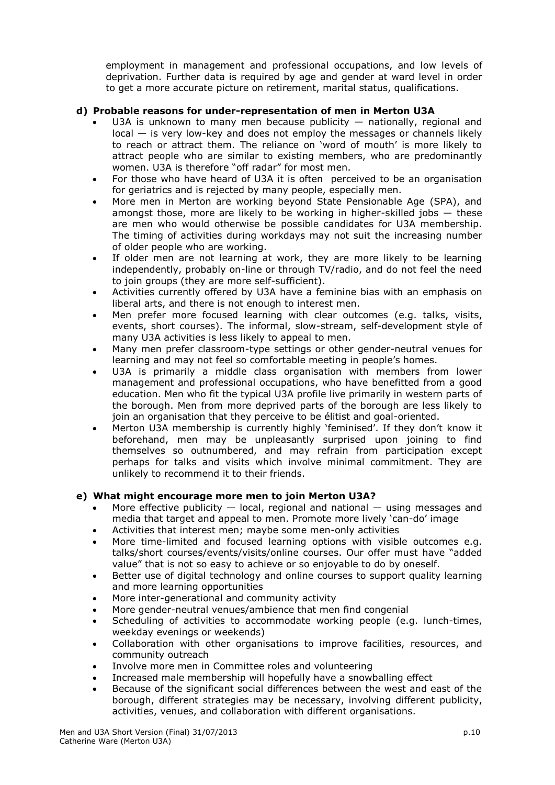employment in management and professional occupations, and low levels of deprivation. Further data is required by age and gender at ward level in order to get a more accurate picture on retirement, marital status, qualifications.

# **d) Probable reasons for under-representation of men in Merton U3A**

- U3A is unknown to many men because publicity  $-$  nationally, regional and local — is very low-key and does not employ the messages or channels likely to reach or attract them. The reliance on 'word of mouth' is more likely to attract people who are similar to existing members, who are predominantly women. U3A is therefore "off radar" for most men.
- For those who have heard of U3A it is often perceived to be an organisation for geriatrics and is rejected by many people, especially men.
- More men in Merton are working beyond State Pensionable Age (SPA), and amongst those, more are likely to be working in higher-skilled jobs  $-$  these are men who would otherwise be possible candidates for U3A membership. The timing of activities during workdays may not suit the increasing number of older people who are working.
- If older men are not learning at work, they are more likely to be learning independently, probably on-line or through TV/radio, and do not feel the need to join groups (they are more self-sufficient).
- Activities currently offered by U3A have a feminine bias with an emphasis on liberal arts, and there is not enough to interest men.
- Men prefer more focused learning with clear outcomes (e.g. talks, visits, events, short courses). The informal, slow-stream, self-development style of many U3A activities is less likely to appeal to men.
- Many men prefer classroom-type settings or other gender-neutral venues for learning and may not feel so comfortable meeting in people's homes.
- U3A is primarily a middle class organisation with members from lower management and professional occupations, who have benefitted from a good education. Men who fit the typical U3A profile live primarily in western parts of the borough. Men from more deprived parts of the borough are less likely to join an organisation that they perceive to be élitist and goal-oriented.
- Merton U3A membership is currently highly 'feminised'. If they don't know it beforehand, men may be unpleasantly surprised upon joining to find themselves so outnumbered, and may refrain from participation except perhaps for talks and visits which involve minimal commitment. They are unlikely to recommend it to their friends.

# **e) What might encourage more men to join Merton U3A?**

- More effective publicity  $-$  local, regional and national  $-$  using messages and media that target and appeal to men. Promote more lively 'can-do' image
- Activities that interest men; maybe some men-only activities
- More time-limited and focused learning options with visible outcomes e.g. talks/short courses/events/visits/online courses. Our offer must have "added value" that is not so easy to achieve or so enjoyable to do by oneself.
- Better use of digital technology and online courses to support quality learning and more learning opportunities
- More inter-generational and community activity
- More gender-neutral venues/ambience that men find congenial
- Scheduling of activities to accommodate working people (e.g. lunch-times, weekday evenings or weekends)
- Collaboration with other organisations to improve facilities, resources, and community outreach
- Involve more men in Committee roles and volunteering
- Increased male membership will hopefully have a snowballing effect
- Because of the significant social differences between the west and east of the borough, different strategies may be necessary, involving different publicity, activities, venues, and collaboration with different organisations.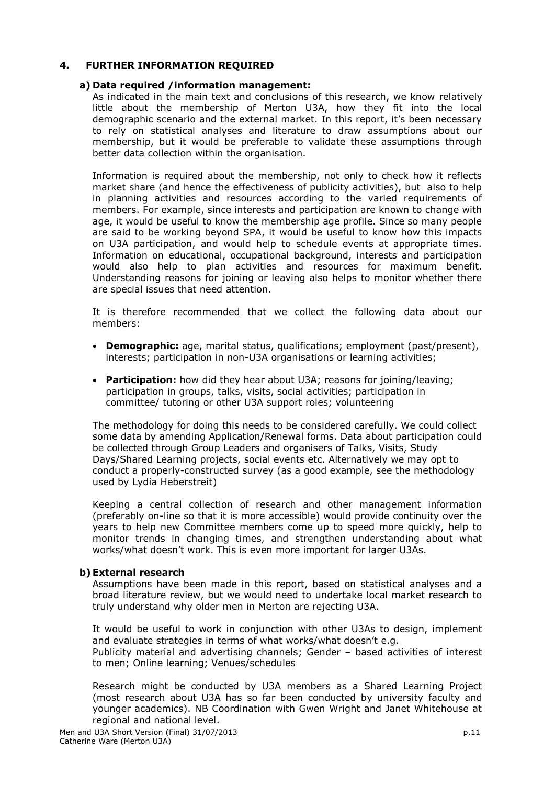## **4. FURTHER INFORMATION REQUIRED**

### **a) Data required /information management:**

As indicated in the main text and conclusions of this research, we know relatively little about the membership of Merton U3A, how they fit into the local demographic scenario and the external market. In this report, it's been necessary to rely on statistical analyses and literature to draw assumptions about our membership, but it would be preferable to validate these assumptions through better data collection within the organisation.

Information is required about the membership, not only to check how it reflects market share (and hence the effectiveness of publicity activities), but also to help in planning activities and resources according to the varied requirements of members. For example, since interests and participation are known to change with age, it would be useful to know the membership age profile. Since so many people are said to be working beyond SPA, it would be useful to know how this impacts on U3A participation, and would help to schedule events at appropriate times. Information on educational, occupational background, interests and participation would also help to plan activities and resources for maximum benefit. Understanding reasons for joining or leaving also helps to monitor whether there are special issues that need attention.

It is therefore recommended that we collect the following data about our members:

- **Demographic:** age, marital status, qualifications; employment (past/present), interests; participation in non-U3A organisations or learning activities;
- **Participation:** how did they hear about U3A; reasons for joining/leaving; participation in groups, talks, visits, social activities; participation in committee/ tutoring or other U3A support roles; volunteering

The methodology for doing this needs to be considered carefully. We could collect some data by amending Application/Renewal forms. Data about participation could be collected through Group Leaders and organisers of Talks, Visits, Study Days/Shared Learning projects, social events etc. Alternatively we may opt to conduct a properly-constructed survey (as a good example, see the methodology used by Lydia Heberstreit)

Keeping a central collection of research and other management information (preferably on-line so that it is more accessible) would provide continuity over the years to help new Committee members come up to speed more quickly, help to monitor trends in changing times, and strengthen understanding about what works/what doesn't work. This is even more important for larger U3As.

### **b)External research**

Assumptions have been made in this report, based on statistical analyses and a broad literature review, but we would need to undertake local market research to truly understand why older men in Merton are rejecting U3A.

It would be useful to work in conjunction with other U3As to design, implement and evaluate strategies in terms of what works/what doesn't e.g. Publicity material and advertising channels; Gender – based activities of interest to men; Online learning; Venues/schedules

Research might be conducted by U3A members as a Shared Learning Project (most research about U3A has so far been conducted by university faculty and younger academics). NB Coordination with Gwen Wright and Janet Whitehouse at regional and national level.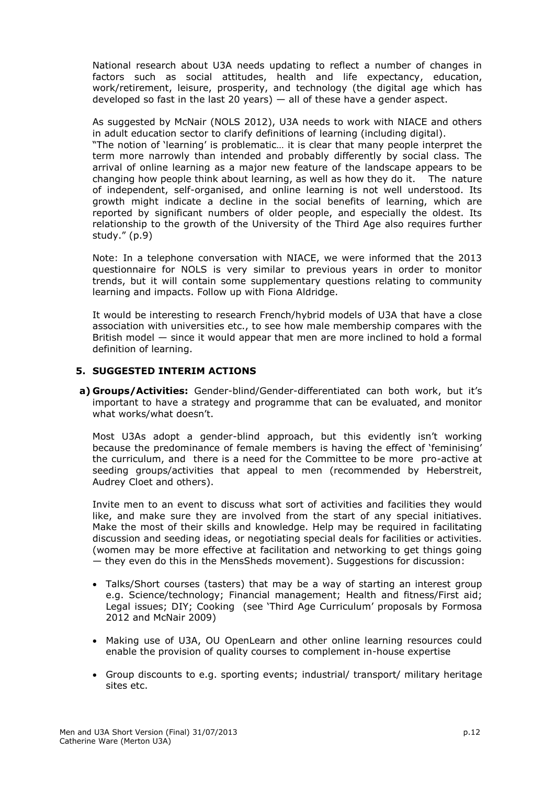National research about U3A needs updating to reflect a number of changes in factors such as social attitudes, health and life expectancy, education, work/retirement, leisure, prosperity, and technology (the digital age which has developed so fast in the last 20 years)  $-$  all of these have a gender aspect.

As suggested by McNair (NOLS 2012), U3A needs to work with NIACE and others in adult education sector to clarify definitions of learning (including digital).

"The notion of 'learning' is problematic… it is clear that many people interpret the term more narrowly than intended and probably differently by social class. The arrival of online learning as a major new feature of the landscape appears to be changing how people think about learning, as well as how they do it. The nature of independent, self-organised, and online learning is not well understood. Its growth might indicate a decline in the social benefits of learning, which are reported by significant numbers of older people, and especially the oldest. Its relationship to the growth of the University of the Third Age also requires further study." (p.9)

Note: In a telephone conversation with NIACE, we were informed that the 2013 questionnaire for NOLS is very similar to previous years in order to monitor trends, but it will contain some supplementary questions relating to community learning and impacts. Follow up with Fiona Aldridge.

It would be interesting to research French/hybrid models of U3A that have a close association with universities etc., to see how male membership compares with the British model — since it would appear that men are more inclined to hold a formal definition of learning.

### **5. SUGGESTED INTERIM ACTIONS**

**a) Groups/Activities:** Gender-blind/Gender-differentiated can both work, but it's important to have a strategy and programme that can be evaluated, and monitor what works/what doesn't.

Most U3As adopt a gender-blind approach, but this evidently isn't working because the predominance of female members is having the effect of 'feminising' the curriculum, and there is a need for the Committee to be more pro-active at seeding groups/activities that appeal to men (recommended by Heberstreit, Audrey Cloet and others).

Invite men to an event to discuss what sort of activities and facilities they would like, and make sure they are involved from the start of any special initiatives. Make the most of their skills and knowledge. Help may be required in facilitating discussion and seeding ideas, or negotiating special deals for facilities or activities. (women may be more effective at facilitation and networking to get things going — they even do this in the MensSheds movement). Suggestions for discussion:

- Talks/Short courses (tasters) that may be a way of starting an interest group e.g. Science/technology; Financial management; Health and fitness/First aid; Legal issues; DIY; Cooking (see 'Third Age Curriculum' proposals by Formosa 2012 and McNair 2009)
- Making use of U3A, OU OpenLearn and other online learning resources could enable the provision of quality courses to complement in-house expertise
- Group discounts to e.g. sporting events; industrial/ transport/ military heritage sites etc.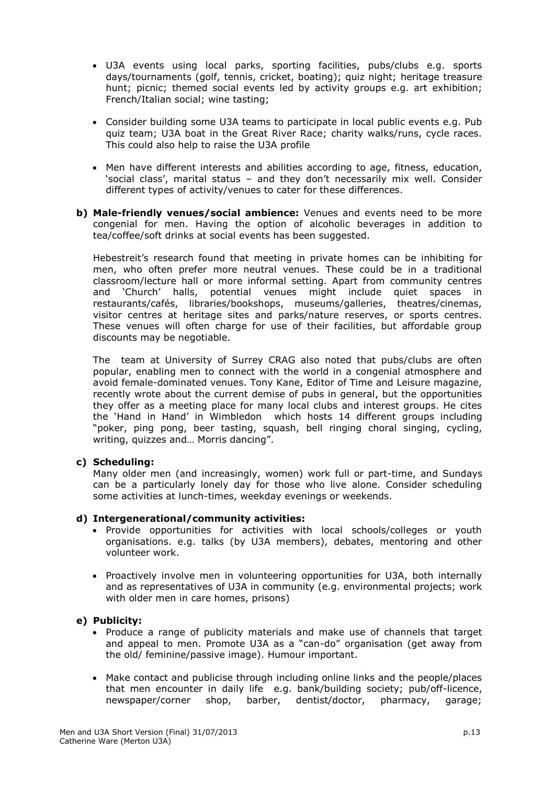- U3A events using local parks, sporting facilities, pubs/clubs e.g. sports days/tournaments (golf, tennis, cricket, boating); quiz night; heritage treasure hunt; picnic; themed social events led by activity groups e.g. art exhibition; French/Italian social; wine tasting;
- Consider building some U3A teams to participate in local public events e.g. Pub quiz team; U3A boat in the Great River Race; charity walks/runs, cycle races. This could also help to raise the U3A profile
- Men have different interests and abilities according to age, fitness, education, 'social class', marital status – and they don't necessarily mix well. Consider different types of activity/venues to cater for these differences.
- **b) Male-friendly venues/social ambience:** Venues and events need to be more congenial for men. Having the option of alcoholic beverages in addition to tea/coffee/soft drinks at social events has been suggested.

Hebestreit's research found that meeting in private homes can be inhibiting for men, who often prefer more neutral venues. These could be in a traditional classroom/lecture hall or more informal setting. Apart from community centres and 'Church' halls, potential venues might include quiet spaces in restaurants/cafés, libraries/bookshops, museums/galleries, theatres/cinemas, visitor centres at heritage sites and parks/nature reserves, or sports centres. These venues will often charge for use of their facilities, but affordable group discounts may be negotiable.

The team at University of Surrey CRAG also noted that pubs/clubs are often popular, enabling men to connect with the world in a congenial atmosphere and avoid female-dominated venues. Tony Kane, Editor of Time and Leisure magazine, recently wrote about the current demise of pubs in general, but the opportunities they offer as a meeting place for many local clubs and interest groups. He cites the 'Hand in Hand' in Wimbledon which hosts 14 different groups including "poker, ping pong, beer tasting, squash, bell ringing choral singing, cycling, writing, quizzes and… Morris dancing".

### **c) Scheduling:**

Many older men (and increasingly, women) work full or part-time, and Sundays can be a particularly lonely day for those who live alone. Consider scheduling some activities at lunch-times, weekday evenings or weekends.

### **d) Intergenerational/community activities:**

- Provide opportunities for activities with local schools/colleges or youth organisations. e.g. talks (by U3A members), debates, mentoring and other volunteer work.
- Proactively involve men in volunteering opportunities for U3A, both internally and as representatives of U3A in community (e.g. environmental projects; work with older men in care homes, prisons)

### **e) Publicity:**

- Produce a range of publicity materials and make use of channels that target and appeal to men. Promote U3A as a "can-do" organisation (get away from the old/ feminine/passive image). Humour important.
- Make contact and publicise through including online links and the people/places that men encounter in daily life e.g. bank/building society; pub/off-licence, newspaper/corner shop, barber, dentist/doctor, pharmacy, garage;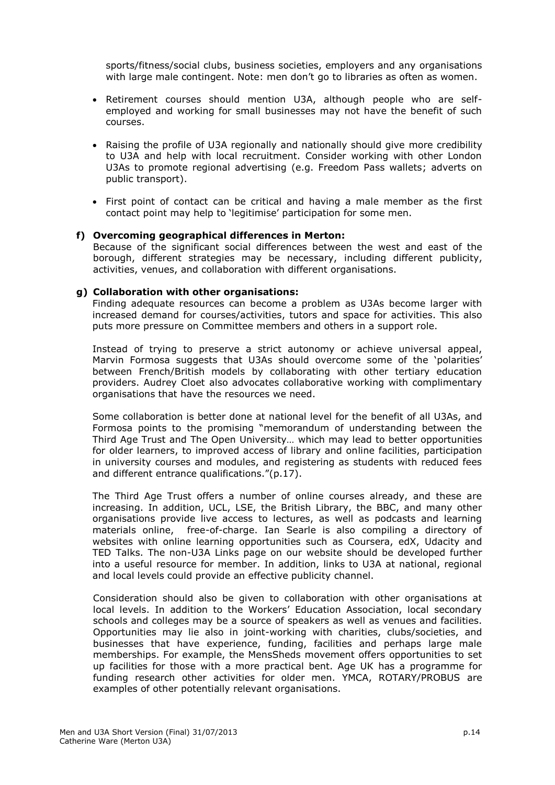sports/fitness/social clubs, business societies, employers and any organisations with large male contingent. Note: men don't go to libraries as often as women.

- Retirement courses should mention U3A, although people who are selfemployed and working for small businesses may not have the benefit of such courses.
- Raising the profile of U3A regionally and nationally should give more credibility to U3A and help with local recruitment. Consider working with other London U3As to promote regional advertising (e.g. Freedom Pass wallets; adverts on public transport).
- First point of contact can be critical and having a male member as the first contact point may help to 'legitimise' participation for some men.

#### **f) Overcoming geographical differences in Merton:**

Because of the significant social differences between the west and east of the borough, different strategies may be necessary, including different publicity, activities, venues, and collaboration with different organisations.

#### **g) Collaboration with other organisations:**

Finding adequate resources can become a problem as U3As become larger with increased demand for courses/activities, tutors and space for activities. This also puts more pressure on Committee members and others in a support role.

Instead of trying to preserve a strict autonomy or achieve universal appeal, Marvin Formosa suggests that U3As should overcome some of the 'polarities' between French/British models by collaborating with other tertiary education providers. Audrey Cloet also advocates collaborative working with complimentary organisations that have the resources we need.

Some collaboration is better done at national level for the benefit of all U3As, and Formosa points to the promising "memorandum of understanding between the Third Age Trust and The Open University… which may lead to better opportunities for older learners, to improved access of library and online facilities, participation in university courses and modules, and registering as students with reduced fees and different entrance qualifications."(p.17).

The Third Age Trust offers a number of online courses already, and these are increasing. In addition, UCL, LSE, the British Library, the BBC, and many other organisations provide live access to lectures, as well as podcasts and learning materials online, free-of-charge. Ian Searle is also compiling a directory of websites with online learning opportunities such as Coursera, edX, Udacity and TED Talks. The non-U3A Links page on our website should be developed further into a useful resource for member. In addition, links to U3A at national, regional and local levels could provide an effective publicity channel.

Consideration should also be given to collaboration with other organisations at local levels. In addition to the Workers' Education Association, local secondary schools and colleges may be a source of speakers as well as venues and facilities. Opportunities may lie also in joint-working with charities, clubs/societies, and businesses that have experience, funding, facilities and perhaps large male memberships. For example, the MensSheds movement offers opportunities to set up facilities for those with a more practical bent. Age UK has a programme for funding research other activities for older men. YMCA, ROTARY/PROBUS are examples of other potentially relevant organisations.